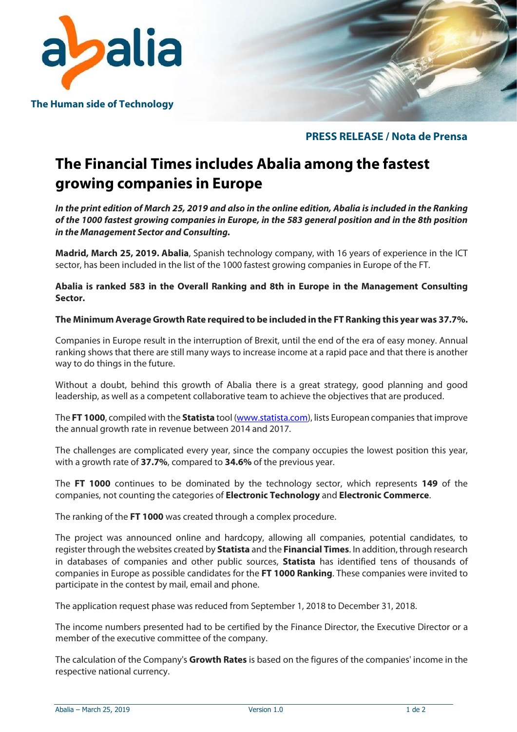

The Human side of Technology

# PRESS RELEASE / Nota de Prensa

# The Financial Times includes Abalia among the fastest growing companies in Europe

In the print edition of March 25, 2019 and also in the online edition, Abalia is included in the Ranking of the 1000 fastest growing companies in Europe, in the 583 general position and in the 8th position in the Management Sector and Consulting.

Madrid, March 25, 2019. Abalia, Spanish technology company, with 16 years of experience in the ICT sector, has been included in the list of the 1000 fastest growing companies in Europe of the FT.

Abalia is ranked 583 in the Overall Ranking and 8th in Europe in the Management Consulting Sector.

### The Minimum Average Growth Rate required to be included in the FT Ranking this year was 37.7%.

Companies in Europe result in the interruption of Brexit, until the end of the era of easy money. Annual ranking shows that there are still many ways to increase income at a rapid pace and that there is another way to do things in the future.

Without a doubt, behind this growth of Abalia there is a great strategy, good planning and good leadership, as well as a competent collaborative team to achieve the objectives that are produced.

The FT 1000, compiled with the Statista tool (www.statista.com), lists European companies that improve the annual growth rate in revenue between 2014 and 2017.

The challenges are complicated every year, since the company occupies the lowest position this year, with a growth rate of 37.7%, compared to 34.6% of the previous year.

The FT 1000 continues to be dominated by the technology sector, which represents 149 of the companies, not counting the categories of Electronic Technology and Electronic Commerce.

The ranking of the FT 1000 was created through a complex procedure.

The project was announced online and hardcopy, allowing all companies, potential candidates, to register through the websites created by **Statista** and the Financial Times. In addition, through research in databases of companies and other public sources, **Statista** has identified tens of thousands of companies in Europe as possible candidates for the FT 1000 Ranking. These companies were invited to participate in the contest by mail, email and phone.

The application request phase was reduced from September 1, 2018 to December 31, 2018.

The income numbers presented had to be certified by the Finance Director, the Executive Director or a member of the executive committee of the company.

The calculation of the Company's Growth Rates is based on the figures of the companies' income in the respective national currency.